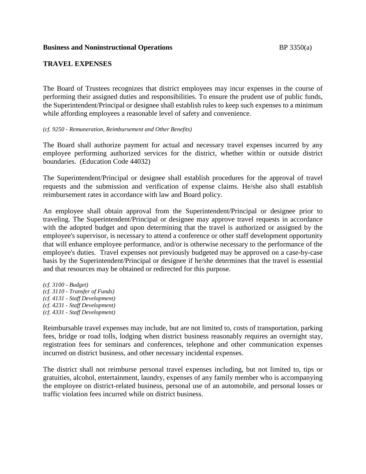### **Business and Noninstructional Operations** BP 3350(a)

# **TRAVEL EXPENSES**

The Board of Trustees recognizes that district employees may incur expenses in the course of performing their assigned duties and responsibilities. To ensure the prudent use of public funds, the Superintendent/Principal or designee shall establish rules to keep such expenses to a minimum while affording employees a reasonable level of safety and convenience.

#### *(cf. 9250 - Remuneration, Reimbursement and Other Benefits)*

The Board shall authorize payment for actual and necessary travel expenses incurred by any employee performing authorized services for the district, whether within or outside district boundaries. (Education Code 44032)

The Superintendent/Principal or designee shall establish procedures for the approval of travel requests and the submission and verification of expense claims. He/she also shall establish reimbursement rates in accordance with law and Board policy.

An employee shall obtain approval from the Superintendent/Principal or designee prior to traveling. The Superintendent/Principal or designee may approve travel requests in accordance with the adopted budget and upon determining that the travel is authorized or assigned by the employee's supervisor, is necessary to attend a conference or other staff development opportunity that will enhance employee performance, and/or is otherwise necessary to the performance of the employee's duties. Travel expenses not previously budgeted may be approved on a case-by-case basis by the Superintendent/Principal or designee if he/she determines that the travel is essential and that resources may be obtained or redirected for this purpose.

*(cf. 3100 - Budget) (cf. 3110 - Transfer of Funds) (cf. 4131 - Staff Development) (cf. 4231 - Staff Development) (cf. 4331 - Staff Development)*

Reimbursable travel expenses may include, but are not limited to, costs of transportation, parking fees, bridge or road tolls, lodging when district business reasonably requires an overnight stay, registration fees for seminars and conferences, telephone and other communication expenses incurred on district business, and other necessary incidental expenses.

The district shall not reimburse personal travel expenses including, but not limited to, tips or gratuities, alcohol, entertainment, laundry, expenses of any family member who is accompanying the employee on district-related business, personal use of an automobile, and personal losses or traffic violation fees incurred while on district business.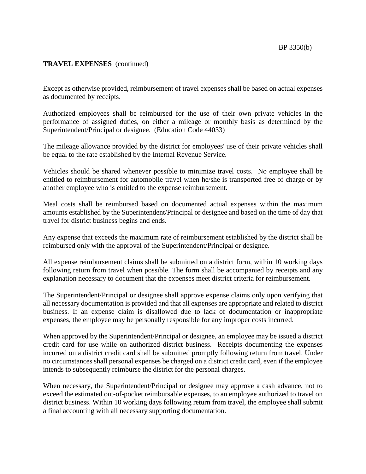# **TRAVEL EXPENSES** (continued)

Except as otherwise provided, reimbursement of travel expenses shall be based on actual expenses as documented by receipts.

Authorized employees shall be reimbursed for the use of their own private vehicles in the performance of assigned duties, on either a mileage or monthly basis as determined by the Superintendent/Principal or designee. (Education Code 44033)

The mileage allowance provided by the district for employees' use of their private vehicles shall be equal to the rate established by the Internal Revenue Service.

Vehicles should be shared whenever possible to minimize travel costs. No employee shall be entitled to reimbursement for automobile travel when he/she is transported free of charge or by another employee who is entitled to the expense reimbursement.

Meal costs shall be reimbursed based on documented actual expenses within the maximum amounts established by the Superintendent/Principal or designee and based on the time of day that travel for district business begins and ends.

Any expense that exceeds the maximum rate of reimbursement established by the district shall be reimbursed only with the approval of the Superintendent/Principal or designee.

All expense reimbursement claims shall be submitted on a district form, within 10 working days following return from travel when possible. The form shall be accompanied by receipts and any explanation necessary to document that the expenses meet district criteria for reimbursement.

The Superintendent/Principal or designee shall approve expense claims only upon verifying that all necessary documentation is provided and that all expenses are appropriate and related to district business. If an expense claim is disallowed due to lack of documentation or inappropriate expenses, the employee may be personally responsible for any improper costs incurred.

When approved by the Superintendent/Principal or designee, an employee may be issued a district credit card for use while on authorized district business. Receipts documenting the expenses incurred on a district credit card shall be submitted promptly following return from travel. Under no circumstances shall personal expenses be charged on a district credit card, even if the employee intends to subsequently reimburse the district for the personal charges.

When necessary, the Superintendent/Principal or designee may approve a cash advance, not to exceed the estimated out-of-pocket reimbursable expenses, to an employee authorized to travel on district business. Within 10 working days following return from travel, the employee shall submit a final accounting with all necessary supporting documentation.